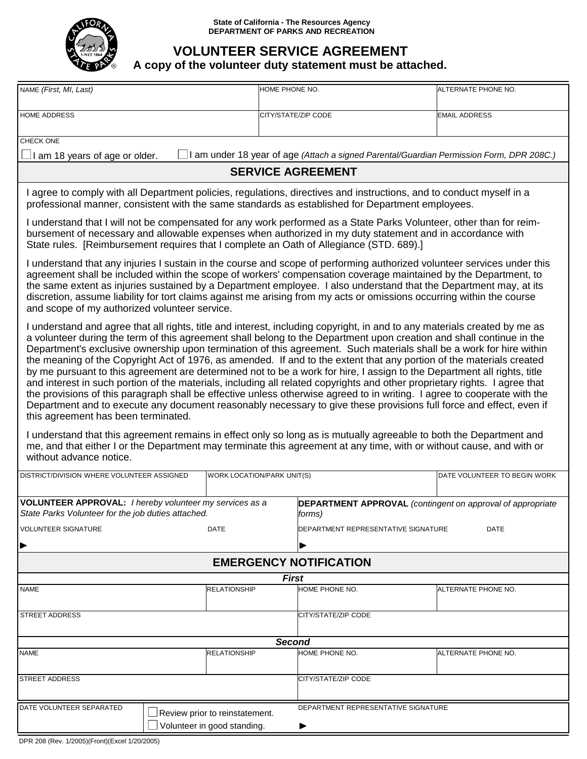

## **VOLUNTEER SERVICE AGREEMENT**

## **A copy of the volunteer duty statement must be attached.**

| NAME (First, MI, Last)                                                                                                                                                                                                                                                                                                                                                                                                                                                                                                                                                                                                                                                                                                                                                                                                                                                                                                                                                                                                                                                                                                                                                                                                                                                                                                        | HOME PHONE NO.                              |                                     | ALTERNATE PHONE NO.          |  |  |  |
|-------------------------------------------------------------------------------------------------------------------------------------------------------------------------------------------------------------------------------------------------------------------------------------------------------------------------------------------------------------------------------------------------------------------------------------------------------------------------------------------------------------------------------------------------------------------------------------------------------------------------------------------------------------------------------------------------------------------------------------------------------------------------------------------------------------------------------------------------------------------------------------------------------------------------------------------------------------------------------------------------------------------------------------------------------------------------------------------------------------------------------------------------------------------------------------------------------------------------------------------------------------------------------------------------------------------------------|---------------------------------------------|-------------------------------------|------------------------------|--|--|--|
| HOME ADDRESS                                                                                                                                                                                                                                                                                                                                                                                                                                                                                                                                                                                                                                                                                                                                                                                                                                                                                                                                                                                                                                                                                                                                                                                                                                                                                                                  |                                             | CITY/STATE/ZIP CODE                 | <b>EMAIL ADDRESS</b>         |  |  |  |
| CHECK ONE                                                                                                                                                                                                                                                                                                                                                                                                                                                                                                                                                                                                                                                                                                                                                                                                                                                                                                                                                                                                                                                                                                                                                                                                                                                                                                                     |                                             |                                     |                              |  |  |  |
| I am under 18 year of age (Attach a signed Parental/Guardian Permission Form, DPR 208C.)<br>$\Box$ I am 18 years of age or older.                                                                                                                                                                                                                                                                                                                                                                                                                                                                                                                                                                                                                                                                                                                                                                                                                                                                                                                                                                                                                                                                                                                                                                                             |                                             |                                     |                              |  |  |  |
| <b>SERVICE AGREEMENT</b>                                                                                                                                                                                                                                                                                                                                                                                                                                                                                                                                                                                                                                                                                                                                                                                                                                                                                                                                                                                                                                                                                                                                                                                                                                                                                                      |                                             |                                     |                              |  |  |  |
| I agree to comply with all Department policies, regulations, directives and instructions, and to conduct myself in a<br>professional manner, consistent with the same standards as established for Department employees.                                                                                                                                                                                                                                                                                                                                                                                                                                                                                                                                                                                                                                                                                                                                                                                                                                                                                                                                                                                                                                                                                                      |                                             |                                     |                              |  |  |  |
| I understand that I will not be compensated for any work performed as a State Parks Volunteer, other than for reim-<br>bursement of necessary and allowable expenses when authorized in my duty statement and in accordance with<br>State rules. [Reimbursement requires that I complete an Oath of Allegiance (STD. 689).]                                                                                                                                                                                                                                                                                                                                                                                                                                                                                                                                                                                                                                                                                                                                                                                                                                                                                                                                                                                                   |                                             |                                     |                              |  |  |  |
| I understand that any injuries I sustain in the course and scope of performing authorized volunteer services under this<br>agreement shall be included within the scope of workers' compensation coverage maintained by the Department, to<br>the same extent as injuries sustained by a Department employee. I also understand that the Department may, at its<br>discretion, assume liability for tort claims against me arising from my acts or omissions occurring within the course<br>and scope of my authorized volunteer service.                                                                                                                                                                                                                                                                                                                                                                                                                                                                                                                                                                                                                                                                                                                                                                                     |                                             |                                     |                              |  |  |  |
| I understand and agree that all rights, title and interest, including copyright, in and to any materials created by me as<br>a volunteer during the term of this agreement shall belong to the Department upon creation and shall continue in the<br>Department's exclusive ownership upon termination of this agreement. Such materials shall be a work for hire within<br>the meaning of the Copyright Act of 1976, as amended. If and to the extent that any portion of the materials created<br>by me pursuant to this agreement are determined not to be a work for hire, I assign to the Department all rights, title<br>and interest in such portion of the materials, including all related copyrights and other proprietary rights. I agree that<br>the provisions of this paragraph shall be effective unless otherwise agreed to in writing. I agree to cooperate with the<br>Department and to execute any document reasonably necessary to give these provisions full force and effect, even if<br>this agreement has been terminated.<br>I understand that this agreement remains in effect only so long as is mutually agreeable to both the Department and<br>me, and that either I or the Department may terminate this agreement at any time, with or without cause, and with or<br>without advance notice. |                                             |                                     |                              |  |  |  |
| DISTRICT/DIVISION WHERE VOLUNTEER ASSIGNED                                                                                                                                                                                                                                                                                                                                                                                                                                                                                                                                                                                                                                                                                                                                                                                                                                                                                                                                                                                                                                                                                                                                                                                                                                                                                    | WORK LOCATION/PARK UNIT(S)                  |                                     | DATE VOLUNTEER TO BEGIN WORK |  |  |  |
| VOLUNTEER APPROVAL: I hereby volunteer my services as a<br><b>DEPARTMENT APPROVAL</b> (contingent on approval of appropriate<br>State Parks Volunteer for the job duties attached.<br>forms)                                                                                                                                                                                                                                                                                                                                                                                                                                                                                                                                                                                                                                                                                                                                                                                                                                                                                                                                                                                                                                                                                                                                  |                                             |                                     |                              |  |  |  |
| <b>VOLUNTEER SIGNATURE</b><br><b>DATE</b>                                                                                                                                                                                                                                                                                                                                                                                                                                                                                                                                                                                                                                                                                                                                                                                                                                                                                                                                                                                                                                                                                                                                                                                                                                                                                     | DEPARTMENT REPRESENTATIVE SIGNATURE<br>DATE |                                     |                              |  |  |  |
| <b>EMERGENCY NOTIFICATION</b>                                                                                                                                                                                                                                                                                                                                                                                                                                                                                                                                                                                                                                                                                                                                                                                                                                                                                                                                                                                                                                                                                                                                                                                                                                                                                                 |                                             |                                     |                              |  |  |  |
|                                                                                                                                                                                                                                                                                                                                                                                                                                                                                                                                                                                                                                                                                                                                                                                                                                                                                                                                                                                                                                                                                                                                                                                                                                                                                                                               | <b>First</b>                                |                                     |                              |  |  |  |
| <b>NAME</b>                                                                                                                                                                                                                                                                                                                                                                                                                                                                                                                                                                                                                                                                                                                                                                                                                                                                                                                                                                                                                                                                                                                                                                                                                                                                                                                   | <b>RELATIONSHIP</b>                         | HOME PHONE NO.                      | ALTERNATE PHONE NO.          |  |  |  |
| STREET ADDRESS                                                                                                                                                                                                                                                                                                                                                                                                                                                                                                                                                                                                                                                                                                                                                                                                                                                                                                                                                                                                                                                                                                                                                                                                                                                                                                                |                                             | CITY/STATE/ZIP CODE                 |                              |  |  |  |
| <b>Second</b>                                                                                                                                                                                                                                                                                                                                                                                                                                                                                                                                                                                                                                                                                                                                                                                                                                                                                                                                                                                                                                                                                                                                                                                                                                                                                                                 |                                             |                                     |                              |  |  |  |
| <b>NAME</b>                                                                                                                                                                                                                                                                                                                                                                                                                                                                                                                                                                                                                                                                                                                                                                                                                                                                                                                                                                                                                                                                                                                                                                                                                                                                                                                   | <b>RELATIONSHIP</b>                         | HOME PHONE NO.                      | ALTERNATE PHONE NO.          |  |  |  |
| <b>STREET ADDRESS</b>                                                                                                                                                                                                                                                                                                                                                                                                                                                                                                                                                                                                                                                                                                                                                                                                                                                                                                                                                                                                                                                                                                                                                                                                                                                                                                         |                                             | CITY/STATE/ZIP CODE                 |                              |  |  |  |
| DATE VOLUNTEER SEPARATED<br>Review prior to reinstatement.<br>Volunteer in good standing.                                                                                                                                                                                                                                                                                                                                                                                                                                                                                                                                                                                                                                                                                                                                                                                                                                                                                                                                                                                                                                                                                                                                                                                                                                     |                                             | DEPARTMENT REPRESENTATIVE SIGNATURE |                              |  |  |  |
|                                                                                                                                                                                                                                                                                                                                                                                                                                                                                                                                                                                                                                                                                                                                                                                                                                                                                                                                                                                                                                                                                                                                                                                                                                                                                                                               |                                             |                                     |                              |  |  |  |